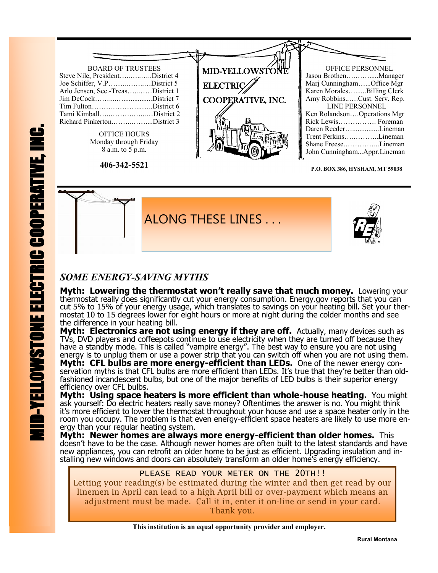

**P.O. BOX 386, HYSHAM, MT 59038**



## *SOME ENERGY-SAVING MYTHS*

**Myth: Lowering the thermostat won't really save that much money.** Lowering your thermostat really does significantly cut your energy consumption. Energy.gov reports that you can cut 5% to 15% of your energy usage, which translates to savings on your heating bill. Set your thermostat 10 to 15 degrees lower for eight hours or more at night during the colder months and see the difference in your heating bill.

**Myth: Electronics are not using energy if they are off.** Actually, many devices such as TVs, DVD players and coffeepots continue to use electricity when they are turned off because they have a standby mode. This is called "vampire energy". The best way to ensure you are not using energy is to unplug them or use a power strip that you can switch off when you are not using them. **Myth: CFL bulbs are more energy-efficient than LEDs.** One of the newer energy conservation myths is that CFL bulbs are more efficient than LEDs. It's true that they're better than oldfashioned incandescent bulbs, but one of the major benefits of LED bulbs is their superior energy efficiency over CFL bulbs.

**Myth: Using space heaters is more efficient than whole-house heating.** You might ask yourself: Do electric heaters really save money? Oftentimes the answer is no. You might think it's more efficient to lower the thermostat throughout your house and use a space heater only in the room you occupy. The problem is that even energy-efficient space heaters are likely to use more energy than your regular heating system.

**Myth: Newer homes are always more energy-efficient than older homes.** This doesn't have to be the case. Although newer homes are often built to the latest standards and have new appliances, you can retrofit an older home to be just as efficient. Upgrading insulation and installing new windows and doors can absolutely transform an older home's energy efficiency.

#### PLEASE READ YOUR METER ON THE 20TH!!

Letting your reading(s) be estimated during the winter and then get read by our linemen in April can lead to a high April bill or over-payment which means an adjustment must be made. Call it in, enter it on-line or send in your card. Thank you.

 **This institution is an equal opportunity provider and employer.**